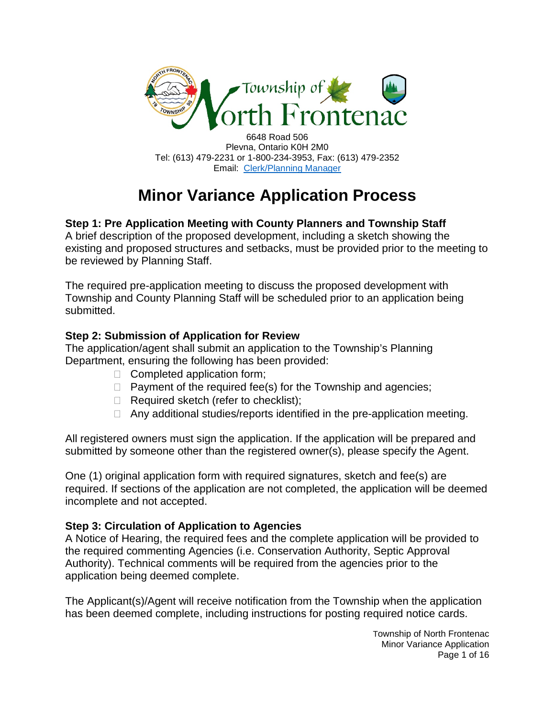

6648 Road 506 Plevna, Ontario K0H 2M0 Tel: (613) 479-2231 or 1-800-234-3953, Fax: (613) 479-2352 Email: Clerk/Planning Manager

# **Minor Variance Application Process**

# **Step 1: Pre Application Meeting with County Planners and Township Staff**

A brief description of the proposed development, including a sketch showing the existing and proposed structures and setbacks, must be provided prior to the meeting to be reviewed by Planning Staff.

The required pre-application meeting to discuss the proposed development with Township and County Planning Staff will be scheduled prior to an application being submitted.

### **Step 2: Submission of Application for Review**

The application/agent shall submit an application to the Township's Planning Department, ensuring the following has been provided:

- □ Completed application form;
- $\Box$  Payment of the required fee(s) for the Township and agencies;
- $\Box$  Required sketch (refer to checklist);
- $\Box$  Any additional studies/reports identified in the pre-application meeting.

All registered owners must sign the application. If the application will be prepared and submitted by someone other than the registered owner(s), please specify the Agent.

One (1) original application form with required signatures, sketch and fee(s) are required. If sections of the application are not completed, the application will be deemed incomplete and not accepted.

# **Step 3: Circulation of Application to Agencies**

A Notice of Hearing, the required fees and the complete application will be provided to the required commenting Agencies (i.e. Conservation Authority, Septic Approval Authority). Technical comments will be required from the agencies prior to the application being deemed complete.

The Applicant(s)/Agent will receive notification from the Township when the application has been deemed complete, including instructions for posting required notice cards.

> Township of North Frontenac Minor Variance Application Page 1 of 16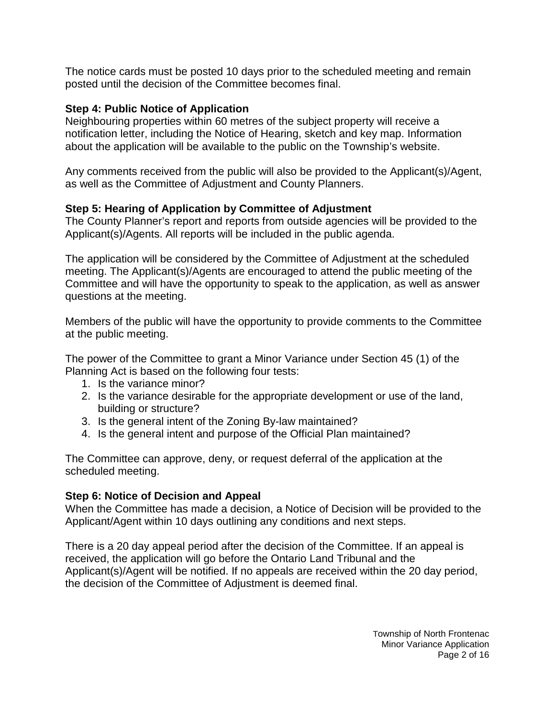The notice cards must be posted 10 days prior to the scheduled meeting and remain posted until the decision of the Committee becomes final.

### **Step 4: Public Notice of Application**

Neighbouring properties within 60 metres of the subject property will receive a notification letter, including the Notice of Hearing, sketch and key map. Information about the application will be available to the public on the Township's website.

Any comments received from the public will also be provided to the Applicant(s)/Agent, as well as the Committee of Adjustment and County Planners.

### **Step 5: Hearing of Application by Committee of Adjustment**

The County Planner's report and reports from outside agencies will be provided to the Applicant(s)/Agents. All reports will be included in the public agenda.

The application will be considered by the Committee of Adjustment at the scheduled meeting. The Applicant(s)/Agents are encouraged to attend the public meeting of the Committee and will have the opportunity to speak to the application, as well as answer questions at the meeting.

Members of the public will have the opportunity to provide comments to the Committee at the public meeting.

The power of the Committee to grant a Minor Variance under Section 45 (1) of the Planning Act is based on the following four tests:

- 1. Is the variance minor?
- 2. Is the variance desirable for the appropriate development or use of the land, building or structure?
- 3. Is the general intent of the Zoning By-law maintained?
- 4. Is the general intent and purpose of the Official Plan maintained?

The Committee can approve, deny, or request deferral of the application at the scheduled meeting.

### **Step 6: Notice of Decision and Appeal**

When the Committee has made a decision, a Notice of Decision will be provided to the Applicant/Agent within 10 days outlining any conditions and next steps.

There is a 20 day appeal period after the decision of the Committee. If an appeal is received, the application will go before the Ontario Land Tribunal and the Applicant(s)/Agent will be notified. If no appeals are received within the 20 day period, the decision of the Committee of Adjustment is deemed final.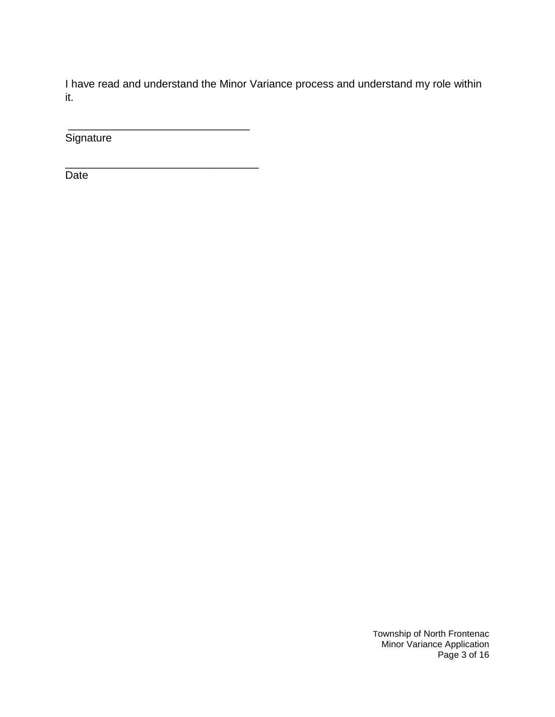I have read and understand the Minor Variance process and understand my role within it.

**Signature** 

\_\_\_\_\_\_\_\_\_\_\_\_\_\_\_\_\_\_\_\_\_\_\_\_\_\_\_\_\_\_\_\_

\_\_\_\_\_\_\_\_\_\_\_\_\_\_\_\_\_\_\_\_\_\_\_\_\_\_\_\_\_\_

Date

Township of North Frontenac Minor Variance Application Page 3 of 16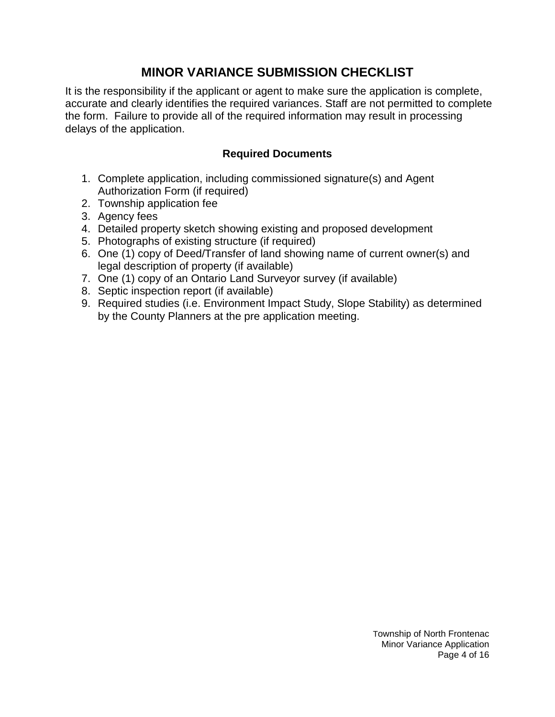# **MINOR VARIANCE SUBMISSION CHECKLIST**

It is the responsibility if the applicant or agent to make sure the application is complete, accurate and clearly identifies the required variances. Staff are not permitted to complete the form. Failure to provide all of the required information may result in processing delays of the application.

### **Required Documents**

- 1. Complete application, including commissioned signature(s) and Agent Authorization Form (if required)
- 2. Township application fee
- 3. Agency fees
- 4. Detailed property sketch showing existing and proposed development
- 5. Photographs of existing structure (if required)
- 6. One (1) copy of Deed/Transfer of land showing name of current owner(s) and legal description of property (if available)
- 7. One (1) copy of an Ontario Land Surveyor survey (if available)
- 8. Septic inspection report (if available)
- 9. Required studies (i.e. Environment Impact Study, Slope Stability) as determined by the County Planners at the pre application meeting.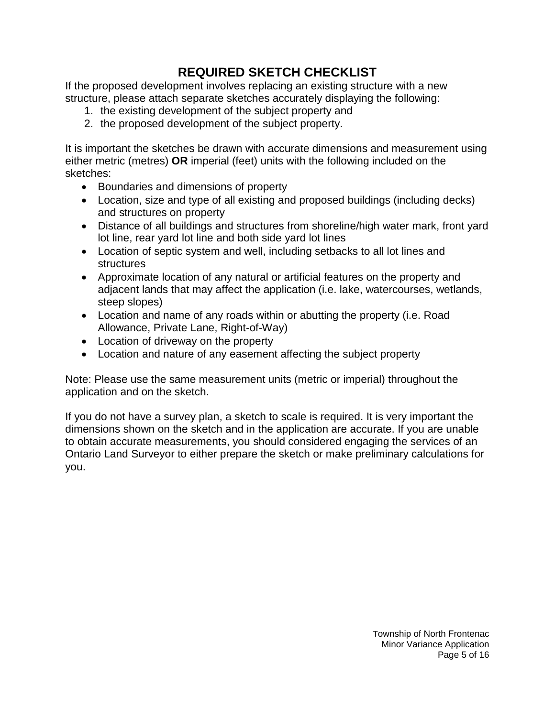# **REQUIRED SKETCH CHECKLIST**

If the proposed development involves replacing an existing structure with a new structure, please attach separate sketches accurately displaying the following:

- 1. the existing development of the subject property and
- 2. the proposed development of the subject property.

It is important the sketches be drawn with accurate dimensions and measurement using either metric (metres) **OR** imperial (feet) units with the following included on the sketches:

- Boundaries and dimensions of property
- Location, size and type of all existing and proposed buildings (including decks) and structures on property
- Distance of all buildings and structures from shoreline/high water mark, front yard lot line, rear yard lot line and both side yard lot lines
- Location of septic system and well, including setbacks to all lot lines and structures
- Approximate location of any natural or artificial features on the property and adjacent lands that may affect the application (i.e. lake, watercourses, wetlands, steep slopes)
- Location and name of any roads within or abutting the property (i.e. Road Allowance, Private Lane, Right-of-Way)
- Location of driveway on the property
- Location and nature of any easement affecting the subject property

Note: Please use the same measurement units (metric or imperial) throughout the application and on the sketch.

If you do not have a survey plan, a sketch to scale is required. It is very important the dimensions shown on the sketch and in the application are accurate. If you are unable to obtain accurate measurements, you should considered engaging the services of an Ontario Land Surveyor to either prepare the sketch or make preliminary calculations for you.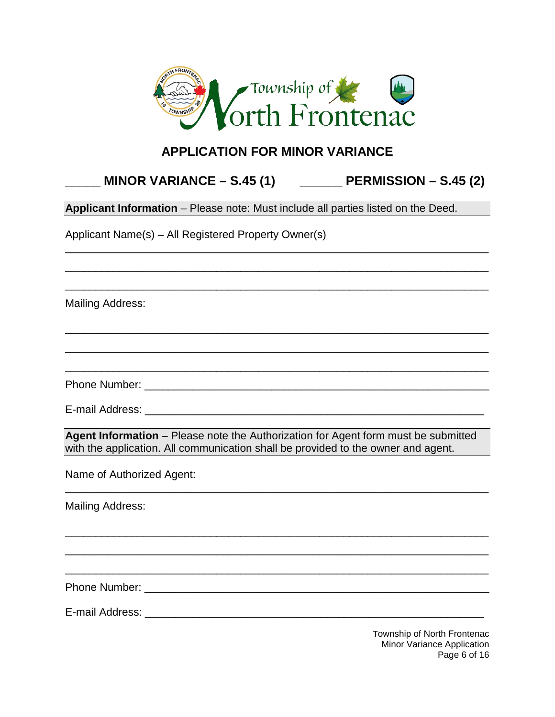

# **APPLICATION FOR MINOR VARIANCE**

\_\_\_\_\_\_\_\_\_\_\_\_\_\_\_\_\_\_\_\_\_\_\_\_\_\_\_\_\_\_\_\_\_\_\_\_\_\_\_\_\_\_\_\_\_\_\_\_\_\_\_\_\_\_\_\_\_\_\_\_\_\_\_\_\_\_\_\_\_\_

\_\_\_\_\_\_\_\_\_\_\_\_\_\_\_\_\_\_\_\_\_\_\_\_\_\_\_\_\_\_\_\_\_\_\_\_\_\_\_\_\_\_\_\_\_\_\_\_\_\_\_\_\_\_\_\_\_\_\_\_\_\_\_\_\_\_\_\_\_\_

\_\_\_\_\_\_\_\_\_\_\_\_\_\_\_\_\_\_\_\_\_\_\_\_\_\_\_\_\_\_\_\_\_\_\_\_\_\_\_\_\_\_\_\_\_\_\_\_\_\_\_\_\_\_\_\_\_\_\_\_\_\_\_\_\_\_\_\_\_\_

# **\_\_\_\_\_ \_\_\_\_\_\_ MINOR VARIANCE – S.45 (1) PERMISSION – S.45 (2)**

**Applicant Information** – Please note: Must include all parties listed on the Deed.

Applicant Name(s) – All Registered Property Owner(s)

Mailing Address:

\_\_\_\_\_\_\_\_\_\_\_\_\_\_\_\_\_\_\_\_\_\_\_\_\_\_\_\_\_\_\_\_\_\_\_\_\_\_\_\_\_\_\_\_\_\_\_\_\_\_\_\_\_\_\_\_\_ Phone Number:

\_\_\_\_\_\_\_\_\_\_\_\_\_\_\_\_\_\_\_\_\_\_\_\_\_\_\_\_\_\_\_\_\_\_\_\_\_\_\_\_\_\_\_\_\_\_\_\_\_\_\_\_\_\_\_\_ E-mail Address:

**Agent Information** – Please note the Authorization for Agent form must be submitted with the application. All communication shall be provided to the owner and agent.

\_\_\_\_\_\_\_\_\_\_\_\_\_\_\_\_\_\_\_\_\_\_\_\_\_\_\_\_\_\_\_\_\_\_\_\_\_\_\_\_\_\_\_\_\_\_\_\_\_\_\_\_\_\_\_\_\_\_\_\_\_\_\_\_\_\_\_\_\_\_

\_\_\_\_\_\_\_\_\_\_\_\_\_\_\_\_\_\_\_\_\_\_\_\_\_\_\_\_\_\_\_\_\_\_\_\_\_\_\_\_\_\_\_\_\_\_\_\_\_\_\_\_\_\_\_\_\_\_\_\_\_\_\_\_\_\_\_\_\_\_

\_\_\_\_\_\_\_\_\_\_\_\_\_\_\_\_\_\_\_\_\_\_\_\_\_\_\_\_\_\_\_\_\_\_\_\_\_\_\_\_\_\_\_\_\_\_\_\_\_\_\_\_\_\_\_\_\_\_\_\_\_\_\_\_\_\_\_\_\_\_

\_\_\_\_\_\_\_\_\_\_\_\_\_\_\_\_\_\_\_\_\_\_\_\_\_\_\_\_\_\_\_\_\_\_\_\_\_\_\_\_\_\_\_\_\_\_\_\_\_\_\_\_\_\_\_\_\_\_\_\_\_\_\_\_\_\_\_\_\_\_

\_\_\_\_\_\_\_\_\_\_\_\_\_\_\_\_\_\_\_\_\_\_\_\_\_\_\_\_\_\_\_\_\_\_\_\_\_\_\_\_\_\_\_\_\_\_\_\_\_\_\_\_\_\_\_\_\_\_\_\_\_\_\_\_\_\_\_\_\_\_

\_\_\_\_\_\_\_\_\_\_\_\_\_\_\_\_\_\_\_\_\_\_\_\_\_\_\_\_\_\_\_\_\_\_\_\_\_\_\_\_\_\_\_\_\_\_\_\_\_\_\_\_\_\_\_\_\_\_\_\_\_\_\_\_\_\_\_\_\_\_

\_\_\_\_\_\_\_\_\_\_\_\_\_\_\_\_\_\_\_\_\_\_\_\_\_\_\_\_\_\_\_\_\_\_\_\_\_\_\_\_\_\_\_\_\_\_\_\_\_\_\_\_\_\_\_\_\_\_\_\_\_\_\_\_\_\_\_\_\_\_

Name of Authorized Agent:

Mailing Address:

\_\_\_\_\_\_\_\_\_\_\_\_\_\_\_\_\_\_\_\_\_\_\_\_\_\_\_\_\_\_\_\_\_\_\_\_\_\_\_\_\_\_\_\_\_\_\_\_\_\_\_\_\_\_\_\_\_ Phone Number:

\_\_\_\_\_\_\_\_\_\_\_\_\_\_\_\_\_\_\_\_\_\_\_\_\_\_\_\_\_\_\_\_\_\_\_\_\_\_\_\_\_\_\_\_\_\_\_\_\_\_\_\_\_\_\_\_ E-mail Address:

Township of North Frontenac Minor Variance Application Page 6 of 16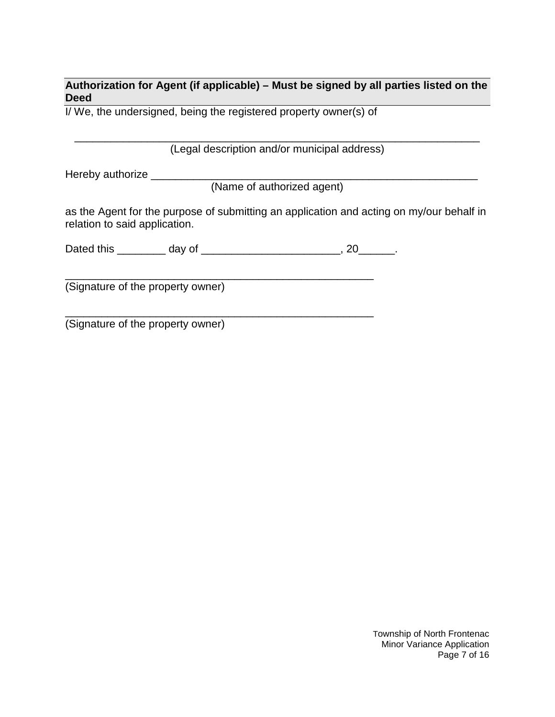**Authorization for Agent (if applicable) – Must be signed by all parties listed on the Deed**

I/ We, the undersigned, being the registered property owner(s) of

\_\_\_\_\_\_\_\_\_\_\_\_\_\_\_\_\_\_\_\_\_\_\_\_\_\_\_\_\_\_\_\_\_\_\_\_\_\_\_\_\_\_\_\_\_\_\_\_\_\_\_\_\_\_\_\_\_\_\_\_\_\_\_\_\_\_\_ (Legal description and/or municipal address)

Hereby authorize \_\_\_\_\_\_\_\_\_\_

\_\_\_\_\_\_\_\_\_\_\_\_\_\_\_\_\_\_\_\_\_\_\_\_\_\_\_\_\_\_\_\_\_\_\_\_\_\_\_\_\_\_\_\_\_\_\_\_\_\_\_\_\_\_ (Name of authorized agent)

as the Agent for the purpose of submitting an application and acting on my/our behalf in relation to said application.

\_\_\_\_\_\_\_\_ \_\_\_\_\_\_\_\_\_\_\_\_\_\_\_\_\_\_\_\_\_\_\_ \_\_\_\_\_\_ Dated this day of , 20 .(Signature of the property owner)

\_\_\_\_\_\_\_\_\_\_\_\_\_\_\_\_\_\_\_\_\_\_\_\_\_\_\_\_\_\_\_\_\_\_\_\_\_\_\_\_\_\_\_\_\_\_\_\_\_\_\_

\_\_\_\_\_\_\_\_\_\_\_\_\_\_\_\_\_\_\_\_\_\_\_\_\_\_\_\_\_\_\_\_\_\_\_\_\_\_\_\_\_\_\_\_\_\_\_\_\_\_\_

(Signature of the property owner)

Township of North Frontenac Minor Variance Application Page 7 of 16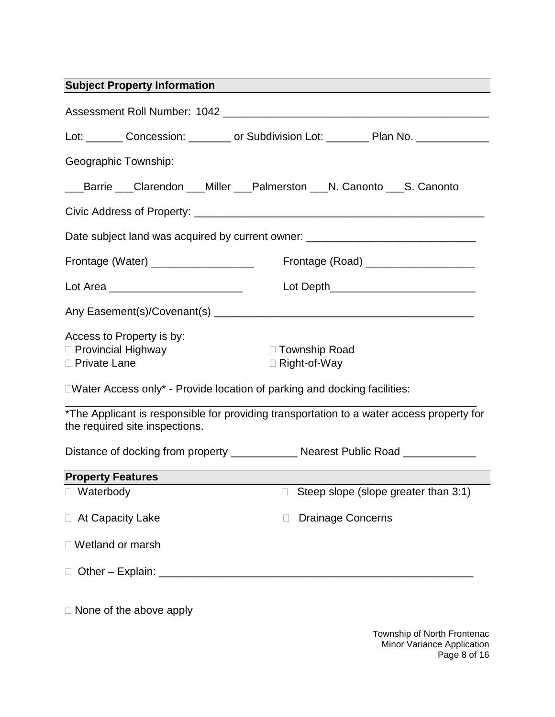| <b>Subject Property Information</b>                                                                                         |
|-----------------------------------------------------------------------------------------------------------------------------|
|                                                                                                                             |
|                                                                                                                             |
| Lot: _______ Concession: ________ or Subdivision Lot: ________ Plan No. _____________                                       |
| Geographic Township:                                                                                                        |
| _Barrie ___Clarendon ___Miller ___Palmerston ___N. Canonto ___S. Canonto                                                    |
|                                                                                                                             |
| Date subject land was acquired by current owner: _______________________________                                            |
| Frontage (Water) ___________________<br>Frontage (Road) ___________________                                                 |
| Lot Area _____________________________<br>Lot Depth____________________________                                             |
|                                                                                                                             |
| Access to Property is by:                                                                                                   |
| □ Provincial Highway<br>□ Township Road                                                                                     |
| □ Private Lane<br>$\Box$ Right-of-Way                                                                                       |
| $\square$ Water Access only* - Provide location of parking and docking facilities:                                          |
| *The Applicant is responsible for providing transportation to a water access property for<br>the required site inspections. |
| Distance of docking from property _______________ Nearest Public Road ___________                                           |
| <b>Property Features</b>                                                                                                    |
| Steep slope (slope greater than 3:1)<br>$\Box$ Waterbody<br>$\Box$                                                          |
| □ At Capacity Lake<br><b>Drainage Concerns</b><br>$\Box$                                                                    |
| □ Wetland or marsh                                                                                                          |
|                                                                                                                             |
|                                                                                                                             |

 $\square$  None of the above apply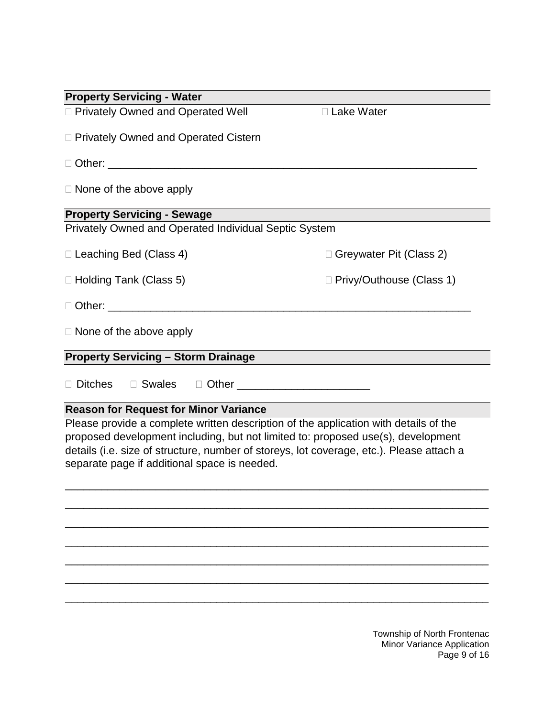| <b>Property Servicing - Water</b>                            |                                |
|--------------------------------------------------------------|--------------------------------|
| □ Privately Owned and Operated Well                          | □ Lake Water                   |
| □ Privately Owned and Operated Cistern                       |                                |
|                                                              |                                |
| $\Box$ None of the above apply                               |                                |
| <b>Property Servicing - Sewage</b>                           |                                |
| <b>Privately Owned and Operated Individual Septic System</b> |                                |
| □ Leaching Bed (Class 4)                                     | $\Box$ Greywater Pit (Class 2) |
| □ Holding Tank (Class 5)                                     | □ Privy/Outhouse (Class 1)     |
|                                                              |                                |
| $\Box$ None of the above apply                               |                                |
| <b>Property Servicing - Storm Drainage</b>                   |                                |
| □ Ditches □ Swales □ Other ______________________            |                                |

### **Reason for Request for Minor Variance**

Please provide a complete written description of the application with details of the proposed development including, but not limited to: proposed use(s), development details (i.e. size of structure, number of storeys, lot coverage, etc.). Please attach a separate page if additional space is needed.

\_\_\_\_\_\_\_\_\_\_\_\_\_\_\_\_\_\_\_\_\_\_\_\_\_\_\_\_\_\_\_\_\_\_\_\_\_\_\_\_\_\_\_\_\_\_\_\_\_\_\_\_\_\_\_\_\_\_\_\_\_\_\_\_\_\_\_\_\_\_

\_\_\_\_\_\_\_\_\_\_\_\_\_\_\_\_\_\_\_\_\_\_\_\_\_\_\_\_\_\_\_\_\_\_\_\_\_\_\_\_\_\_\_\_\_\_\_\_\_\_\_\_\_\_\_\_\_\_\_\_\_\_\_\_\_\_\_\_\_\_

\_\_\_\_\_\_\_\_\_\_\_\_\_\_\_\_\_\_\_\_\_\_\_\_\_\_\_\_\_\_\_\_\_\_\_\_\_\_\_\_\_\_\_\_\_\_\_\_\_\_\_\_\_\_\_\_\_\_\_\_\_\_\_\_\_\_\_\_\_\_

\_\_\_\_\_\_\_\_\_\_\_\_\_\_\_\_\_\_\_\_\_\_\_\_\_\_\_\_\_\_\_\_\_\_\_\_\_\_\_\_\_\_\_\_\_\_\_\_\_\_\_\_\_\_\_\_\_\_\_\_\_\_\_\_\_\_\_\_\_\_

\_\_\_\_\_\_\_\_\_\_\_\_\_\_\_\_\_\_\_\_\_\_\_\_\_\_\_\_\_\_\_\_\_\_\_\_\_\_\_\_\_\_\_\_\_\_\_\_\_\_\_\_\_\_\_\_\_\_\_\_\_\_\_\_\_\_\_\_\_\_

\_\_\_\_\_\_\_\_\_\_\_\_\_\_\_\_\_\_\_\_\_\_\_\_\_\_\_\_\_\_\_\_\_\_\_\_\_\_\_\_\_\_\_\_\_\_\_\_\_\_\_\_\_\_\_\_\_\_\_\_\_\_\_\_\_\_\_\_\_\_

\_\_\_\_\_\_\_\_\_\_\_\_\_\_\_\_\_\_\_\_\_\_\_\_\_\_\_\_\_\_\_\_\_\_\_\_\_\_\_\_\_\_\_\_\_\_\_\_\_\_\_\_\_\_\_\_\_\_\_\_\_\_\_\_\_\_\_\_\_\_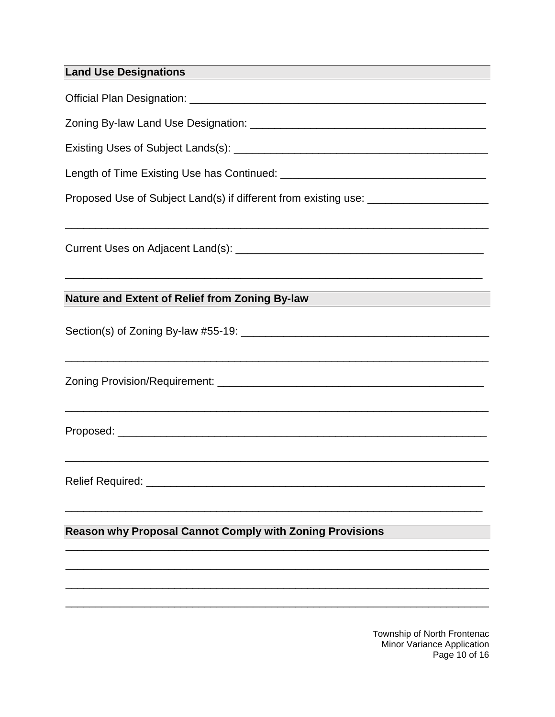| <b>Land Use Designations</b>                                                                  |
|-----------------------------------------------------------------------------------------------|
|                                                                                               |
|                                                                                               |
|                                                                                               |
|                                                                                               |
| Proposed Use of Subject Land(s) if different from existing use: _________________             |
|                                                                                               |
| Nature and Extent of Relief from Zoning By-law Nature and Extent of Relief from Zoning By-law |
|                                                                                               |
|                                                                                               |
|                                                                                               |
|                                                                                               |
| <b>Reason why Proposal Cannot Comply with Zoning Provisions</b>                               |
|                                                                                               |
|                                                                                               |
|                                                                                               |
|                                                                                               |

Township of North Frontenac<br>Minor Variance Application<br>Page 10 of 16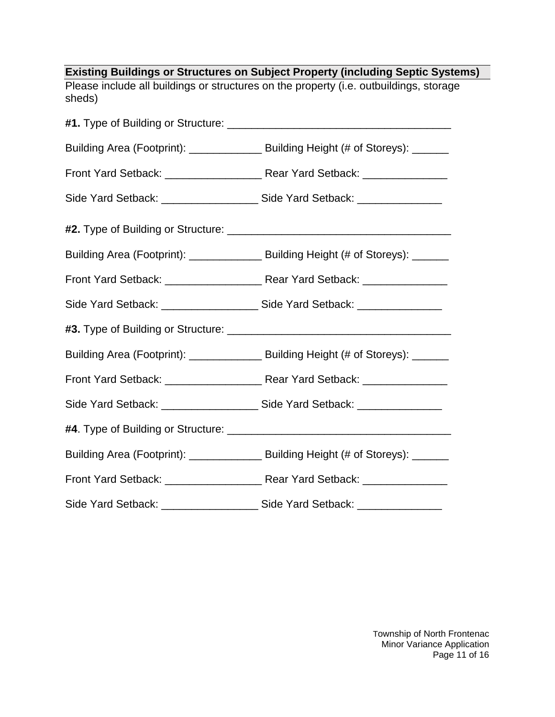| <b>Existing Buildings or Structures on Subject Property (including Septic Systems)</b> |                                                                                        |  |
|----------------------------------------------------------------------------------------|----------------------------------------------------------------------------------------|--|
| sheds)                                                                                 | Please include all buildings or structures on the property (i.e. outbuildings, storage |  |
|                                                                                        |                                                                                        |  |
|                                                                                        | Building Area (Footprint): ________________ Building Height (# of Storeys): ______     |  |
|                                                                                        |                                                                                        |  |
|                                                                                        | Side Yard Setback: ___________________________ Side Yard Setback: ______________       |  |
|                                                                                        |                                                                                        |  |
|                                                                                        | Building Area (Footprint): ________________ Building Height (# of Storeys): ______     |  |
|                                                                                        |                                                                                        |  |
|                                                                                        | Side Yard Setback: __________________________ Side Yard Setback: _______________       |  |
|                                                                                        |                                                                                        |  |
|                                                                                        | Building Area (Footprint): _______________ Building Height (# of Storeys): ______      |  |
|                                                                                        |                                                                                        |  |
|                                                                                        | Side Yard Setback: __________________________ Side Yard Setback: _______________       |  |
|                                                                                        |                                                                                        |  |
|                                                                                        | Building Area (Footprint): ________________ Building Height (# of Storeys): _____      |  |
|                                                                                        |                                                                                        |  |
|                                                                                        | Side Yard Setback: __________________________ Side Yard Setback: _______________       |  |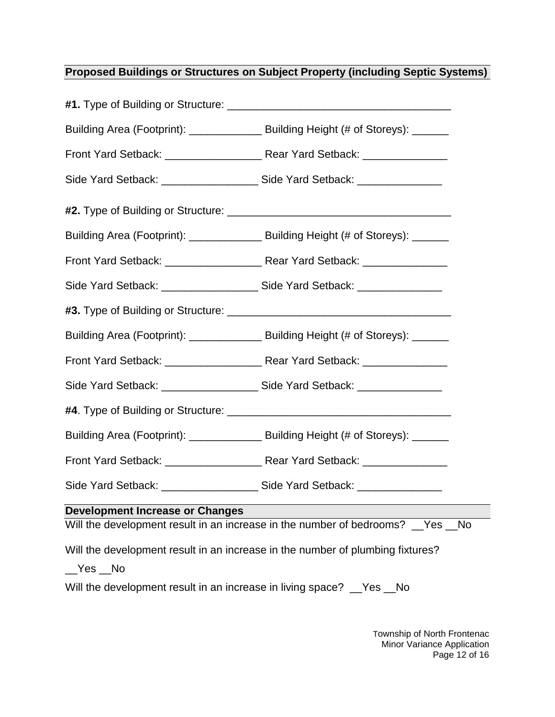# **Proposed Buildings or Structures on Subject Property (including Septic Systems)**

| Building Area (Footprint): _________________ Building Height (# of Storeys): _______                |  |  |
|-----------------------------------------------------------------------------------------------------|--|--|
|                                                                                                     |  |  |
| Side Yard Setback: __________________________________Side Yard Setback: ___________________________ |  |  |
|                                                                                                     |  |  |
| Building Area (Footprint): _________________ Building Height (# of Storeys): _______                |  |  |
|                                                                                                     |  |  |
| Side Yard Setback: ___________________________ Side Yard Setback: ______________                    |  |  |
|                                                                                                     |  |  |
| Building Area (Footprint): ________________ Building Height (# of Storeys): _____                   |  |  |
|                                                                                                     |  |  |
| Side Yard Setback: ___________________________ Side Yard Setback: ______________                    |  |  |
|                                                                                                     |  |  |
| Building Area (Footprint): _______________ Building Height (# of Storeys): ______                   |  |  |
|                                                                                                     |  |  |
| Side Yard Setback: __________________________ Side Yard Setback: _______________                    |  |  |
| <b>Development Increase or Changes</b>                                                              |  |  |
| Will the development result in an increase in the number of bedrooms? _Yes _<br><b>No</b>           |  |  |
| Will the development result in an increase in the number of plumbing fixtures?                      |  |  |
| __Yes __No                                                                                          |  |  |
| Will the development result in an increase in living space?<br><b>No</b><br>Yes                     |  |  |

Township of North Frontenac

Minor Variance Application Page 12 of 16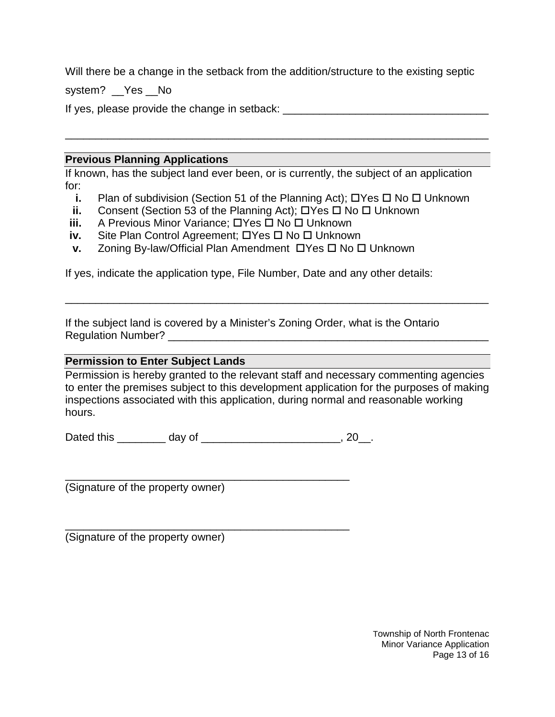Will there be a change in the setback from the addition/structure to the existing septic

system? Yes No

\_\_\_\_\_\_\_\_\_\_\_\_\_\_\_\_\_\_\_\_\_\_\_\_\_\_\_\_\_\_\_\_\_\_ If yes, please provide the change in setback:

#### **Previous Planning Applications**

If known, has the subject land ever been, or is currently, the subject of an application for:

\_\_\_\_\_\_\_\_\_\_\_\_\_\_\_\_\_\_\_\_\_\_\_\_\_\_\_\_\_\_\_\_\_\_\_\_\_\_\_\_\_\_\_\_\_\_\_\_\_\_\_\_\_\_\_\_\_\_\_\_\_\_\_\_\_\_\_\_\_\_

- **i.** Plan of subdivision (Section 51 of the Planning Act);  $\Box$  Yes  $\Box$  No  $\Box$  Unknown
- **ii.** Consent (Section 53 of the Planning Act);  $\Box$  Yes  $\Box$  No  $\Box$  Unknown
- **iii.** A Previous Minor Variance; □Yes □ No □ Unknown
- **iv.** Site Plan Control Agreement; DYes D No D Unknown
- **v.** Zoning By-law/Official Plan Amendment  $\Box$  Yes  $\Box$  No  $\Box$  Unknown

If yes, indicate the application type, File Number, Date and any other details:

\_\_\_\_\_\_\_\_\_\_\_\_\_\_\_\_\_\_\_\_\_\_\_\_\_\_\_\_\_\_\_\_\_\_\_\_\_\_\_\_\_\_\_\_\_\_\_\_\_\_\_\_\_ Regulation Number? If the subject land is covered by a Minister's Zoning Order, what is the Ontario

#### **Permission to Enter Subject Lands**

Permission is hereby granted to the relevant staff and necessary commenting agencies to enter the premises subject to this development application for the purposes of making inspections associated with this application, during normal and reasonable working hours.

\_\_\_\_\_\_\_\_\_\_\_\_\_\_\_\_\_\_\_\_\_\_\_\_\_\_\_\_\_\_\_\_\_\_\_\_\_\_\_\_\_\_\_\_\_\_\_\_\_\_\_\_\_\_\_\_\_\_\_\_\_\_\_\_\_\_\_\_\_\_

Dated this \_\_\_\_\_\_\_\_\_\_ day of \_\_\_\_\_\_\_\_\_\_\_\_\_\_\_\_\_\_\_\_\_\_\_\_\_\_\_\_, 20\_\_.

\_\_\_\_\_\_\_\_\_\_\_\_\_\_\_\_\_\_\_\_\_\_\_\_\_\_\_\_\_\_\_\_\_\_\_\_\_\_\_\_\_\_\_\_\_\_\_

\_\_\_\_\_\_\_\_\_\_\_\_\_\_\_\_\_\_\_\_\_\_\_\_\_\_\_\_\_\_\_\_\_\_\_\_\_\_\_\_\_\_\_\_\_\_\_

(Signature of the property owner)

(Signature of the property owner)

Township of North Frontenac Minor Variance Application Page 13 of 16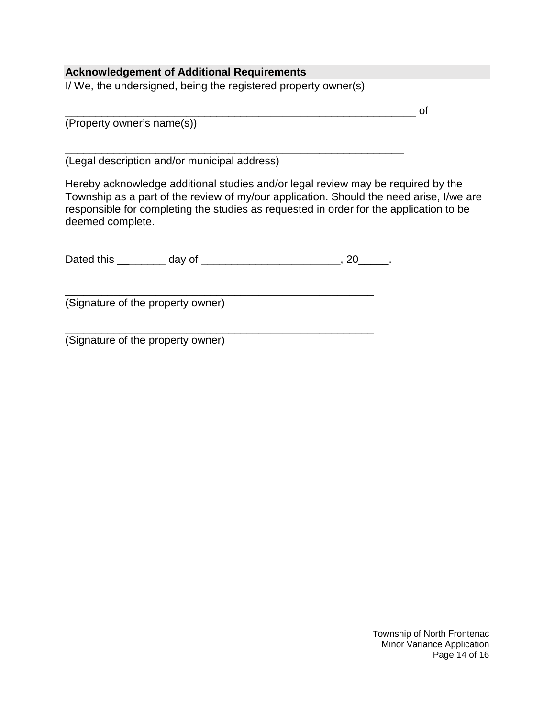#### **Acknowledgement of Additional Requirements**

I/ We, the undersigned, being the registered property owner(s)

(Property owner's name(s))

\_\_\_\_\_\_\_\_\_\_\_\_\_\_\_\_\_\_\_\_\_\_\_\_\_\_\_\_\_\_\_\_\_\_\_\_\_\_\_\_\_\_\_\_\_\_\_\_\_\_\_\_\_\_\_\_ (Legal description and/or municipal address)

Hereby acknowledge additional studies and/or legal review may be required by the Township as a part of the review of my/our application. Should the need arise, I/we are responsible for completing the studies as requested in order for the application to be deemed complete.

Dated this \_\_\_\_\_\_\_\_\_\_ day of \_\_\_\_\_\_\_\_\_\_\_\_\_\_\_\_\_\_\_\_\_\_\_\_\_\_\_\_, 20\_\_\_\_\_\_.

\_\_\_\_\_\_\_\_\_\_\_\_\_\_\_\_\_\_\_\_\_\_\_\_\_\_\_\_\_\_\_\_\_\_\_\_\_\_\_\_\_\_\_\_\_\_\_\_\_\_\_

\_\_\_\_\_\_\_\_\_\_\_\_\_\_\_\_\_\_\_\_\_\_\_\_\_\_\_\_\_\_\_\_\_\_\_\_\_\_\_\_\_\_\_\_\_\_\_\_\_\_\_ (Signature of the property owner)

(Signature of the property owner)

Township of North Frontenac Minor Variance Application Page 14 of 16

of \_\_\_\_\_\_\_\_\_\_\_\_\_\_\_\_\_\_\_\_\_\_\_\_\_\_\_\_\_\_\_\_\_\_\_\_\_\_\_\_\_\_\_\_\_\_\_\_\_\_\_\_\_\_\_\_\_\_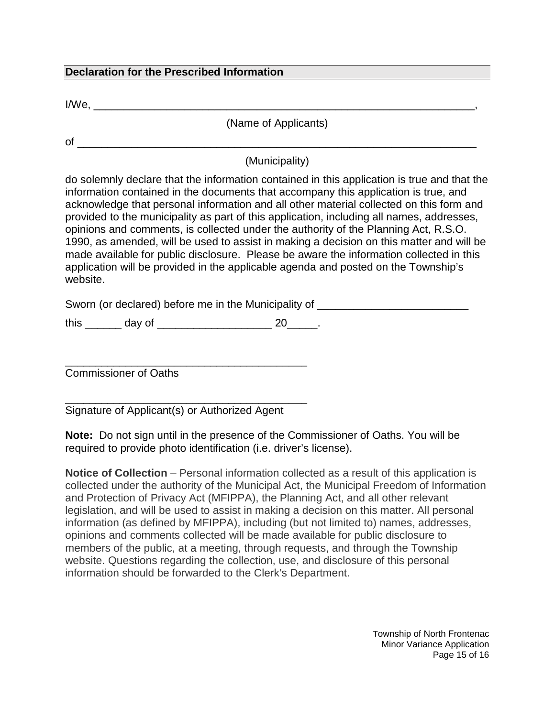### **Declaration for the Prescribed Information**

\_\_\_\_\_\_\_\_\_\_\_\_\_\_\_\_\_\_\_\_\_\_\_\_\_\_\_\_\_\_\_\_\_\_\_\_\_\_\_\_\_\_\_\_\_\_\_\_\_\_\_\_\_\_\_\_\_\_\_\_\_\_\_ I/We, ,(Name of Applicants)

\_\_\_\_\_\_\_\_\_\_\_\_\_\_\_\_\_\_\_\_\_\_\_\_\_\_\_\_\_\_\_\_\_\_\_\_\_\_\_\_\_\_\_\_\_\_\_\_\_\_\_\_\_\_\_\_\_\_\_\_\_\_\_\_\_\_ of

(Municipality)

do solemnly declare that the information contained in this application is true and that the information contained in the documents that accompany this application is true, and acknowledge that personal information and all other material collected on this form and provided to the municipality as part of this application, including all names, addresses, opinions and comments, is collected under the authority of the Planning Act, R.S.O. 1990, as amended, will be used to assist in making a decision on this matter and will be made available for public disclosure. Please be aware the information collected in this application will be provided in the applicable agenda and posted on the Township's website.

Sworn (or declared) before me in the Municipality of \_\_\_\_\_\_\_\_\_\_\_\_\_\_\_\_\_\_\_\_\_\_\_\_\_\_\_

this \_\_\_\_\_\_\_\_ day of \_\_\_\_\_\_\_\_\_\_\_\_\_\_\_\_\_\_\_\_\_\_\_ 20\_\_\_\_\_\_.

\_\_\_\_\_\_\_\_\_\_\_\_\_\_\_\_\_\_\_\_\_\_\_\_\_\_\_\_\_\_\_\_\_\_\_\_\_\_\_\_ Commissioner of Oaths

Signature of Applicant(s) or Authorized Agent

\_\_\_\_\_\_\_\_\_\_\_\_\_\_\_\_\_\_\_\_\_\_\_\_\_\_\_\_\_\_\_\_\_\_\_\_\_\_\_\_

**Note:** Do not sign until in the presence of the Commissioner of Oaths. You will be required to provide photo identification (i.e. driver's license).

**Notice of Collection** – Personal information collected as a result of this application is collected under the authority of the Municipal Act, the Municipal Freedom of Information and Protection of Privacy Act (MFIPPA), the Planning Act, and all other relevant legislation, and will be used to assist in making a decision on this matter. All personal information (as defined by MFIPPA), including (but not limited to) names, addresses, opinions and comments collected will be made available for public disclosure to members of the public, at a meeting, through requests, and through the Township website. Questions regarding the collection, use, and disclosure of this personal information should be forwarded to the Clerk's Department.

> Township of North Frontenac Minor Variance Application Page 15 of 16